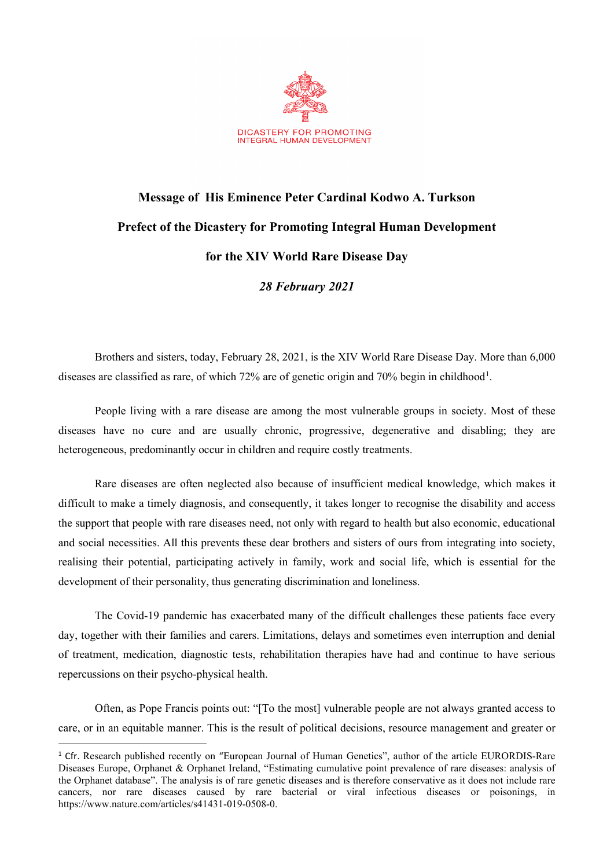

## **Message of His Eminence Peter Cardinal Kodwo A. Turkson Prefect of the Dicastery for Promoting Integral Human Development for the XIV World Rare Disease Day**

*28 February 2021*

Brothers and sisters, today, February 28, 2021, is the XIV World Rare Disease Day. More than 6,000 diseases are classified as rare, of which 72% are of genetic origin and 70% begin in childhood<sup>[1](#page-0-0)</sup>.

People living with a rare disease are among the most vulnerable groups in society. Most of these diseases have no cure and are usually chronic, progressive, degenerative and disabling; they are heterogeneous, predominantly occur in children and require costly treatments.

Rare diseases are often neglected also because of insufficient medical knowledge, which makes it difficult to make a timely diagnosis, and consequently, it takes longer to recognise the disability and access the support that people with rare diseases need, not only with regard to health but also economic, educational and social necessities. All this prevents these dear brothers and sisters of ours from integrating into society, realising their potential, participating actively in family, work and social life, which is essential for the development of their personality, thus generating discrimination and loneliness.

The Covid-19 pandemic has exacerbated many of the difficult challenges these patients face every day, together with their families and carers. Limitations, delays and sometimes even interruption and denial of treatment, medication, diagnostic tests, rehabilitation therapies have had and continue to have serious repercussions on their psycho-physical health.

Often, as Pope Francis points out: "[To the most] vulnerable people are not always granted access to care, or in an equitable manner. This is the result of political decisions, resource management and greater or

<span id="page-0-0"></span><sup>1</sup> Cfr. Research published recently on "European Journal of Human Genetics", author of the article EURORDIS-Rare Diseases Europe, Orphanet & Orphanet Ireland, "Estimating cumulative point prevalence of rare diseases: analysis of the Orphanet database". The analysis is of rare genetic diseases and is therefore conservative as it does not include rare cancers, nor rare diseases caused by rare bacterial or viral infectious diseases or poisonings, in https://www.nature.com/articles/s41431-019-0508-0.